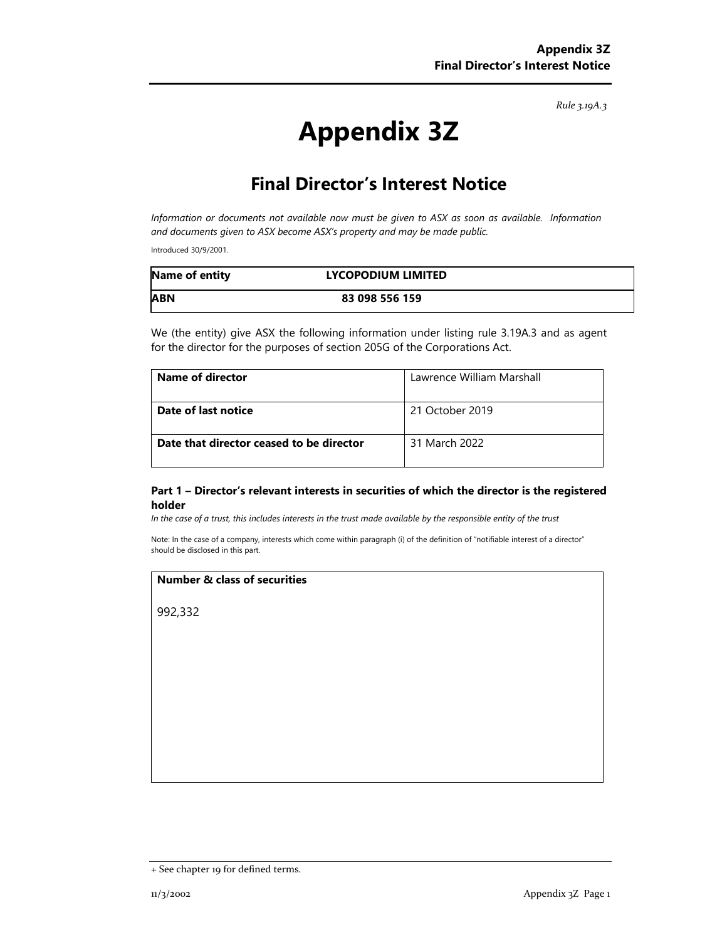*Rule 3.19A.3*

# **Appendix 3Z**

# **Final Director's Interest Notice**

*Information or documents not available now must be given to ASX as soon as available. Information and documents given to ASX become ASX's property and may be made public.* 

Introduced 30/9/2001.

| Name of entity | LYCOPODIUM LIMITED |  |
|----------------|--------------------|--|
| <b>ABN</b>     | 83 098 556 159     |  |

We (the entity) give ASX the following information under listing rule 3.19A.3 and as agent for the director for the purposes of section 205G of the Corporations Act.

| Name of director                         | Lawrence William Marshall |
|------------------------------------------|---------------------------|
| Date of last notice                      | 21 October 2019           |
| Date that director ceased to be director | 31 March 2022             |

#### **Part 1 – Director's relevant interests in securities of which the director is the registered holder**

*In the case of a trust, this includes interests in the trust made available by the responsible entity of the trust*

Note: In the case of a company, interests which come within paragraph (i) of the definition of "notifiable interest of a director" should be disclosed in this part.

#### **Number & class of securities**

992,332

<sup>+</sup> See chapter 19 for defined terms.